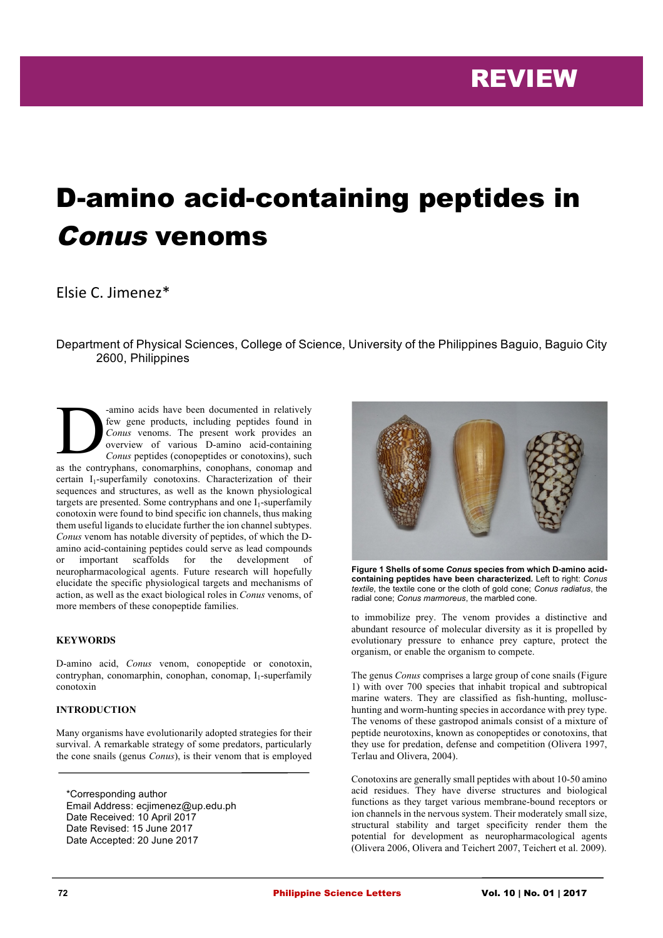# D-amino acid-containing peptides in Conus venoms

# Elsie C. Jimenez\*

Department of Physical Sciences, College of Science, University of the Philippines Baguio, Baguio City 2600, Philippines

-amino acids have been documented in relatively few gene products, including peptides found in *Conus* venoms. The present work provides an overview of various D-amino acid-containing *Conus* peptides (conopeptides or conotoxins), such as the contryphans, conomarphins, conophans, conomap and certain I<sub>1</sub>-superfamily conotoxins. Characterization of their sequences and structures, as well as the known physiological targets are presented. Some contryphans and one  $I_1$ -superfamily conotoxin were found to bind specific ion channels, thus making them useful ligands to elucidate further the ion channel subtypes. *Conus* venom has notable diversity of peptides, of which the Damino acid-containing peptides could serve as lead compounds or important scaffolds for the development of neuropharmacological agents. Future research will hopefully elucidate the specific physiological targets and mechanisms of action, as well as the exact biological roles in *Conus* venoms, of more members of these conopeptide families. D

#### **KEYWORDS**

D-amino acid, *Conus* venom, conopeptide or conotoxin,  $\text{contryphan}, \text{conomarphan}, \text{conophan}, \text{conomap}, \text{I}_1\text{-superfamily}$ conotoxin

#### **INTRODUCTION**

Many organisms have evolutionarily adopted strategies for their survival. A remarkable strategy of some predators, particularly the cone snails (genus *Conus*), is their venom that is employed

\*Corresponding author Email Address: ecjimenez@up.edu.ph Date Received: 10 April 2017 Date Revised: 15 June 2017 Date Accepted: 20 June 2017



**Figure 1 Shells of some** *Conus* **species from which D-amino acidcontaining peptides have been characterized.** Left to right: *Conus textile*, the textile cone or the cloth of gold cone; *Conus radiatus*, the radial cone; *Conus marmoreus*, the marbled cone.

to immobilize prey. The venom provides a distinctive and abundant resource of molecular diversity as it is propelled by evolutionary pressure to enhance prey capture, protect the organism, or enable the organism to compete.

The genus *Conus* comprises a large group of cone snails (Figure 1) with over 700 species that inhabit tropical and subtropical marine waters. They are classified as fish-hunting, molluschunting and worm-hunting species in accordance with prey type. The venoms of these gastropod animals consist of a mixture of peptide neurotoxins, known as conopeptides or conotoxins, that they use for predation, defense and competition (Olivera 1997, Terlau and Olivera, 2004).

Conotoxins are generally small peptides with about 10-50 amino acid residues. They have diverse structures and biological functions as they target various membrane-bound receptors or ion channels in the nervous system. Their moderately small size, structural stability and target specificity render them the potential for development as neuropharmacological agents (Olivera 2006, Olivera and Teichert 2007, Teichert et al. 2009).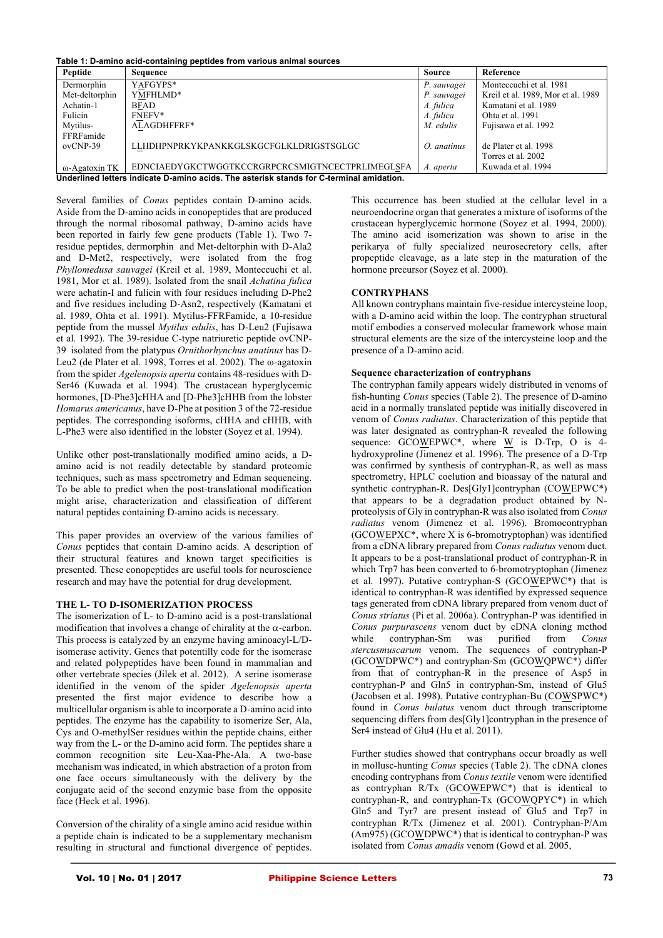**Table 1: D-amino acid-containing peptides from various animal sources**

| Peptide                                                                                  | Sequence                                         | Source      | Reference                          |  |  |  |
|------------------------------------------------------------------------------------------|--------------------------------------------------|-------------|------------------------------------|--|--|--|
| Dermorphin                                                                               | YAFGYPS*                                         | P. sauvagei | Monteccuchi et al. 1981            |  |  |  |
| Met-deltorphin                                                                           | YMFHLMD*                                         | P. sauvagei | Kreil et al. 1989, Mor et al. 1989 |  |  |  |
| Achatin-1                                                                                | <b>BFAD</b>                                      | A. fulica   | Kamatani et al. 1989               |  |  |  |
| Fulicin                                                                                  | FNEFV*                                           | A. fulica   | Ohta et al. 1991                   |  |  |  |
| Mytilus-                                                                                 | ALAGDHFFRF*                                      | M. edulis   | Fujisawa et al. 1992               |  |  |  |
| FFRFamide                                                                                |                                                  |             |                                    |  |  |  |
| $ovCNP-39$                                                                               | LLHDHPNPRKYKPANKKGLSKGCFGLKLDRIGSTSGLGC          | O. anatinus | de Plater et al. 1998              |  |  |  |
|                                                                                          |                                                  |             | Torres et al. 2002                 |  |  |  |
| ω-Agatoxin TK                                                                            | EDNCIAEDYGKCTWGGTKCCRGRPCRCSMIGTNCECTPRLIMEGLSFA | A. aperta   | Kuwada et al. 1994                 |  |  |  |
| Underlined letters indicate D-amino acids. The asterisk stands for C-terminal amidation. |                                                  |             |                                    |  |  |  |

Several families of *Conus* peptides contain D-amino acids. Aside from the D-amino acids in conopeptides that are produced through the normal ribosomal pathway, D-amino acids have been reported in fairly few gene products (Table 1). Two 7 residue peptides, dermorphin and Met-deltorphin with D-Ala2 and D-Met2, respectively, were isolated from the frog *Phyllomedusa sauvagei* (Kreil et al. 1989, Monteccuchi et al. 1981, Mor et al. 1989). Isolated from the snail *Achatina fulica* were achatin-I and fulicin with four residues including D-Phe2 and five residues including D-Asn2, respectively (Kamatani et al. 1989, Ohta et al. 1991). Mytilus-FFRFamide, a 10-residue peptide from the mussel *Mytilus edulis*, has D-Leu2 (Fujisawa et al. 1992). The 39-residue C-type natriuretic peptide ovCNP-39 isolated from the platypus *Ornithorhynchus anatinus* has D-Leu2 (de Plater et al. 1998, Torres et al. 2002). The  $\omega$ -agatoxin from the spider *Agelenopsis aperta* contains 48-residues with D-Ser46 (Kuwada et al. 1994). The crustacean hyperglycemic hormones, [D-Phe3]cHHA and [D-Phe3]cHHB from the lobster *Homarus americanus*, have D-Phe at position 3 of the 72-residue peptides. The corresponding isoforms, cHHA and cHHB, with L-Phe3 were also identified in the lobster (Soyez et al. 1994).

Unlike other post-translationally modified amino acids, a Damino acid is not readily detectable by standard proteomic techniques, such as mass spectrometry and Edman sequencing. To be able to predict when the post-translational modification might arise, characterization and classification of different natural peptides containing D-amino acids is necessary.

This paper provides an overview of the various families of *Conus* peptides that contain D-amino acids. A description of their structural features and known target specificities is presented. These conopeptides are useful tools for neuroscience research and may have the potential for drug development.

# **THE L- TO D-ISOMERIZATION PROCESS**

The isomerization of L- to D-amino acid is a post-translational modification that involves a change of chirality at the  $\alpha$ -carbon. This process is catalyzed by an enzyme having aminoacyl-L/Disomerase activity. Genes that potentilly code for the isomerase and related polypeptides have been found in mammalian and other vertebrate species (Jilek et al. 2012). A serine isomerase identified in the venom of the spider *Agelenopsis aperta* presented the first major evidence to describe how a multicellular organism is able to incorporate a D-amino acid into peptides. The enzyme has the capability to isomerize Ser, Ala, Cys and O-methylSer residues within the peptide chains, either way from the L- or the D-amino acid form. The peptides share a common recognition site Leu-Xaa-Phe-Ala. A two-base mechanism was indicated, in which abstraction of a proton from one face occurs simultaneously with the delivery by the conjugate acid of the second enzymic base from the opposite face (Heck et al. 1996).

Conversion of the chirality of a single amino acid residue within a peptide chain is indicated to be a supplementary mechanism resulting in structural and functional divergence of peptides.

This occurrence has been studied at the cellular level in a neuroendocrine organ that generates a mixture of isoforms of the crustacean hyperglycemic hormone (Soyez et al. 1994, 2000). The amino acid isomerization was shown to arise in the perikarya of fully specialized neurosecretory cells, after propeptide cleavage, as a late step in the maturation of the hormone precursor (Soyez et al. 2000).

#### **CONTRYPHANS**

All known contryphans maintain five-residue intercysteine loop, with a D-amino acid within the loop. The contryphan structural motif embodies a conserved molecular framework whose main structural elements are the size of the intercysteine loop and the presence of a D-amino acid.

# **Sequence characterization of contryphans**

The contryphan family appears widely distributed in venoms of fish-hunting *Conus* species (Table 2). The presence of D-amino acid in a normally translated peptide was initially discovered in venom of *Conus radiatus*. Characterization of this peptide that was later designated as contryphan-R revealed the following sequence: GCOWEPWC\*, where W is D-Trp, O is 4 hydroxyproline (Jimenez et al. 1996). The presence of a D-Trp was confirmed by synthesis of contryphan-R, as well as mass spectrometry, HPLC coelution and bioassay of the natural and synthetic contryphan-R. Des[Gly1]contryphan (COWEPWC\*) that appears to be a degradation product obtained by Nproteolysis of Gly in contryphan-R was also isolated from *Conus radiatus* venom (Jimenez et al. 1996). Bromocontryphan (GCOWEPXC\*, where X is 6-bromotryptophan) was identified from a cDNA library prepared from *Conus radiatus* venom duct. It appears to be a post-translational product of contryphan-R in which Trp7 has been converted to 6-bromotryptophan (Jimenez) et al. 1997). Putative contryphan-S (GCOWEPWC\*) that is identical to contryphan-R was identified by expressed sequence tags generated from cDNA library prepared from venom duct of *Conus striatus* (Pi et al. 2006a). Contryphan-P was identified in *Conus purpurascens* venom duct by cDNA cloning method while contryphan-Sm was purified from *Conus stercusmuscarum* venom. The sequences of contryphan-P (GCOWDPWC\*) and contryphan-Sm (GCOWQPWC\*) differ from that of contryphan-R in the presence of Asp5 in contryphan-P and Gln5 in contryphan-Sm, instead of Glu5 (Jacobsen et al. 1998). Putative contryphan-Bu (COWSPWC\*) found in *Conus bulatus* venom duct through transcriptome sequencing differs from des[Gly1]contryphan in the presence of Ser4 instead of Glu4 (Hu et al. 2011).

Further studies showed that contryphans occur broadly as well in mollusc-hunting *Conus* species (Table 2). The cDNA clones encoding contryphans from *Conus textile* venom were identified as contryphan R/Tx (GCOWEPWC\*) that is identical to contryphan-R, and contryphan-Tx (GCOWQPYC\*) in which Gln5 and Tyr7 are present instead of Glu5 and Trp7 in contryphan R/Tx (Jimenez et al. 2001). Contryphan-P/Am (Am975) (GCOWDPWC\*) that is identical to contryphan-P was isolated from *Conus amadis* venom (Gowd et al. 2005,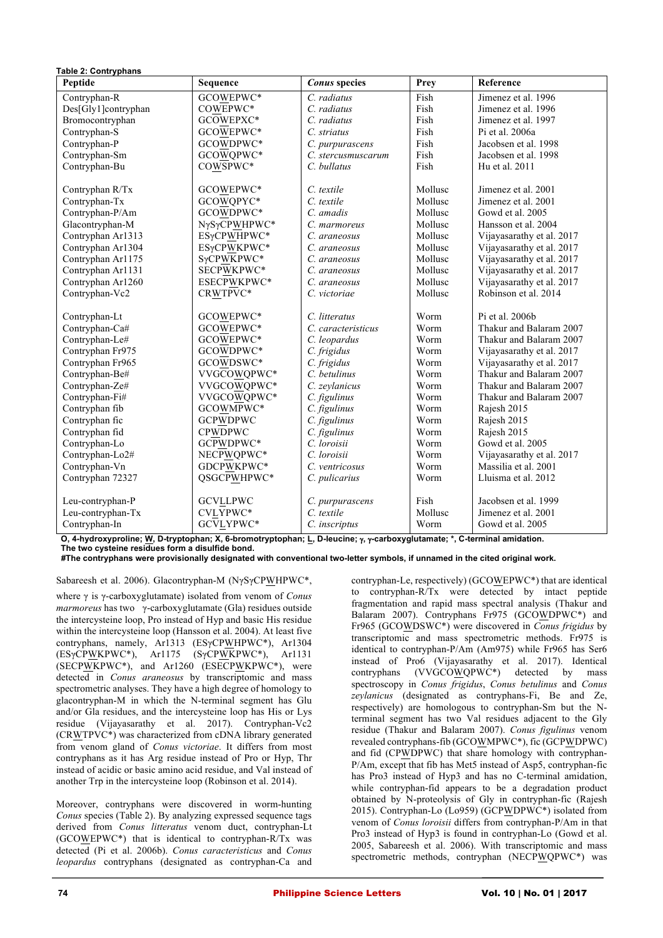**Table 2: Contryphans Peptide Sequence** *Conus* **species Prey Reference** Contryphan-R Des[Gly1]contryphan Bromocontryphan Contryphan-S Contryphan-P Contryphan-Sm Contryphan-Bu Contryphan R/Tx Contryphan-Tx Contryphan-P/Am Glacontryphan-M Contryphan Ar1313 Contryphan Ar1304 Contryphan Ar1175 Contryphan Ar1131 Contryphan Ar1260 Contryphan-Vc2 Contryphan-Lt Contryphan-Ca# Contryphan-Le# Contryphan Fr975 Contryphan Fr965 Contryphan-Be# Contryphan-Ze# Contryphan-Fi# Contryphan fib Contryphan fic Contryphan fid Contryphan-Lo Contryphan-Lo2# Contryphan-Vn Contryphan 72327 Leu-contryphan-P Leu-contryphan-Tx Contryphan-In GCOWEPWC\* COWEPWC\* GCOWEPXC\* GCOWEPWC\* GCOWDPWC\* GCOWQPWC\* COWSPWC\* GCOWEPWC\* GCOWQPYC\* GCOWDPWC\* NγSγCPWHPWC\* ESγCPWHPWC\* ESγCPWKPWC\* SγCPWKPWC\* SECPWKPWC\* ESECPWKPWC\* CRWTPVC\* GCOWEPWC\* GCOWEPWC\* GCOWEPWC\* GCOWDPWC\* GCOWDSWC\* VVGCOWQPWC\* VVGCOWQPWC\* VVGCOWQPWC\* GCOWMPWC\* GCPWDPWC CPWDPWC GCPWDPWC\* NECPWQPWC\* GDCPWKPWC\* QSGCPWHPWC\* **GCVLLPWC** CVLYPWC\* GCVLYPWC\* *C. radiatus C. radiatus C. radiatus C. striatus C. purpurascens C. stercusmuscarum C. bullatus C. textile C. textile C. amadis C. marmoreus C. araneosus C. araneosus C. araneosus C. araneosus C. araneosus C. victoriae C. litteratus C. caracteristicus C. leopardus C. frigidus C. frigidus C. betulinus C. zeylanicus C. figulinus C. figulinus C. figulinus C. figulinus C. loroisii C. loroisii C. ventricosus C. pulicarius C. purpurascens C. textile C. inscriptus* Fish Fish Fish Fish Fish Fish Fish Mollusc Mollusc Mollusc Mollusc Mollusc Mollusc Mollusc Mollusc Mollusc Mollusc Worm Worm Worm Worm Worm Worm Worm Worm Worm Worm Worm Worm Worm Worm Worm Fish Mollusc Worm Jimenez et al. 1996 Jimenez et al. 1996 Jimenez et al. 1997 Pi et al. 2006a Jacobsen et al. 1998 Jacobsen et al. 1998 Hu et al. 2011 Jimenez et al. 2001 Jimenez et al. 2001 Gowd et al. 2005 Hansson et al. 2004 Vijayasarathy et al. 2017 Vijayasarathy et al. 2017 Vijayasarathy et al. 2017 Vijayasarathy et al. 2017 Vijayasarathy et al. 2017 Robinson et al. 2014 Pi et al. 2006b Thakur and Balaram 2007 Thakur and Balaram 2007 Vijayasarathy et al. 2017 Vijayasarathy et al. 2017 Thakur and Balaram 2007 Thakur and Balaram 2007 Thakur and Balaram 2007 Rajesh 2015 Rajesh 2015 Rajesh 2015 Gowd et al. 2005 Vijayasarathy et al. 2017 Massilia et al. 2001 Lluisma et al. 2012 Jacobsen et al. 1999 Jimenez et al. 2001 Gowd et al. 2005 **O, 4-hydroxyproline; W, D-tryptophan; X, 6-bromotryptophan; L, D-leucine;** g**,** g**-carboxyglutamate; \*, C-terminal amidation.** 

**The two cysteine residues form a disulfide bond.** 

**#The contryphans were provisionally designated with conventional two-letter symbols, if unnamed in the cited original work.**

Sabareesh et al. 2006). Glacontryphan-M (NγSγCPWHPWC\*,

where γ is γ-carboxyglutamate) isolated from venom of *Conus marmoreus* has two γ-carboxyglutamate (Gla) residues outside the intercysteine loop, Pro instead of Hyp and basic His residue within the intercysteine loop (Hansson et al. 2004). At least five contryphans, namely, Ar1313 (ESγCPWHPWC\*), Ar1304 (ESγCPWKPWC\*), Ar1175 (SγCPWKPWC\*), Ar1131 (SECPWKPWC\*), and Ar1260 (ESECPWKPWC\*), were detected in *Conus araneosus* by transcriptomic and mass spectrometric analyses. They have a high degree of homology to glacontryphan-M in which the N-terminal segment has Glu and/or Gla residues, and the intercysteine loop has His or Lys residue (Vijayasarathy et al. 2017). Contryphan-Vc2 (CRWTPVC\*) was characterized from cDNA library generated from venom gland of *Conus victoriae*. It differs from most contryphans as it has Arg residue instead of Pro or Hyp, Thr instead of acidic or basic amino acid residue, and Val instead of another Trp in the intercysteine loop (Robinson et al. 2014).

Moreover, contryphans were discovered in worm-hunting *Conus* species (Table 2). By analyzing expressed sequence tags derived from *Conus litteratus* venom duct, contryphan-Lt (GCOWEPWC\*) that is identical to contryphan-R/Tx was detected (Pi et al. 2006b). *Conus caracteristicus* and *Conus leopardus* contryphans (designated as contryphan-Ca and

contryphan-Le, respectively) (GCOWEPWC\*) that are identical to contryphan-R/Tx were detected by intact peptide fragmentation and rapid mass spectral analysis (Thakur and Balaram 2007). Contryphans Fr975 (GCOWDPWC\*) and Fr965 (GCOWDSWC\*) were discovered in *Conus frigidus* by transcriptomic and mass spectrometric methods. Fr975 is identical to contryphan-P/Am (Am975) while Fr965 has Ser6 instead of Pro6 (Vijayasarathy et al. 2017). Identical contryphans (VVGCOWQPWC\*) detected by mass spectroscopy in *Conus frigidus*, *Conus betulinus* and *Conus zeylanicus* (designated as contryphans-Fi, Be and Ze, respectively) are homologous to contryphan-Sm but the Nterminal segment has two Val residues adjacent to the Gly residue (Thakur and Balaram 2007). *Conus figulinus* venom revealed contryphans-fib (GCOWMPWC\*), fic (GCPWDPWC) and fid (CPWDPWC) that share homology with contryphan-P/Am, except that fib has Met5 instead of Asp5, contryphan-fic has Pro3 instead of Hyp3 and has no C-terminal amidation, while contryphan-fid appears to be a degradation product obtained by N-proteolysis of Gly in contryphan-fic (Rajesh 2015). Contryphan-Lo (Lo959) (GCPWDPWC\*) isolated from venom of *Conus loroisii* differs from contryphan-P/Am in that Pro3 instead of Hyp3 is found in contryphan-Lo (Gowd et al. 2005, Sabareesh et al. 2006). With transcriptomic and mass spectrometric methods, contryphan (NECPWQPWC\*) was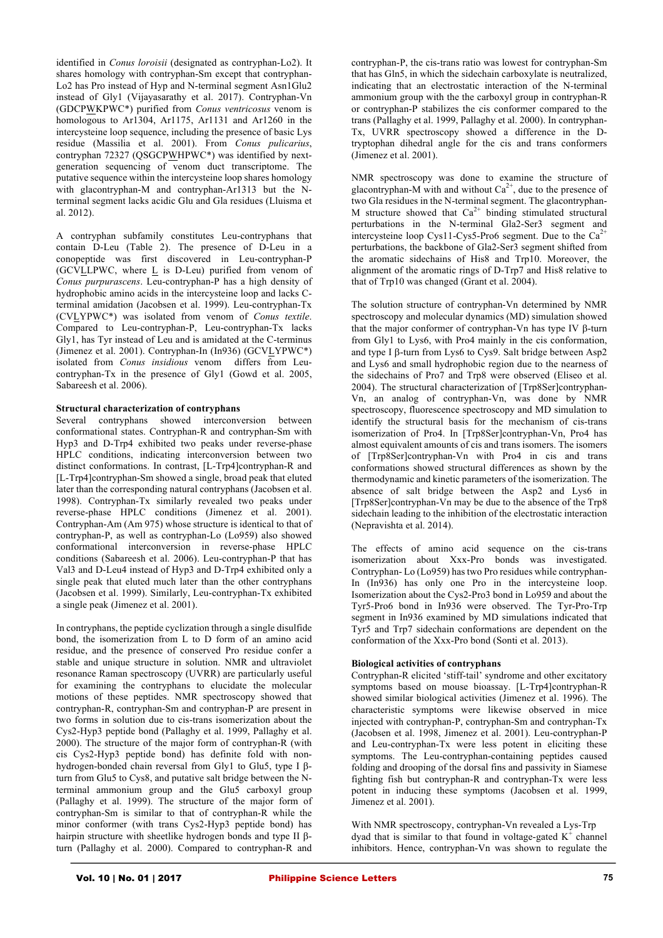identified in *Conus loroisii* (designated as contryphan-Lo2). It shares homology with contryphan-Sm except that contryphan-Lo2 has Pro instead of Hyp and N-terminal segment Asn1Glu2 instead of Gly1 (Vijayasarathy et al. 2017). Contryphan-Vn (GDCPWKPWC\*) purified from *Conus ventricosus* venom is homologous to Ar1304, Ar1175, Ar1131 and Ar1260 in the intercysteine loop sequence, including the presence of basic Lys residue (Massilia et al. 2001). From *Conus pulicarius*, contryphan 72327 (QSGCPWHPWC\*) was identified by nextgeneration sequencing of venom duct transcriptome. The putative sequence within the intercysteine loop shares homology with glacontryphan-M and contryphan-Ar1313 but the Nterminal segment lacks acidic Glu and Gla residues (Lluisma et al. 2012).

A contryphan subfamily constitutes Leu-contryphans that contain D-Leu (Table 2). The presence of D-Leu in a conopeptide was first discovered in Leu-contryphan-P (GCVLLPWC, where L is D-Leu) purified from venom of *Conus purpurascens*. Leu-contryphan-P has a high density of hydrophobic amino acids in the intercysteine loop and lacks Cterminal amidation (Jacobsen et al. 1999). Leu-contryphan-Tx (CVLYPWC\*) was isolated from venom of *Conus textile*. Compared to Leu-contryphan-P, Leu-contryphan-Tx lacks Gly1, has Tyr instead of Leu and is amidated at the C-terminus (Jimenez et al. 2001). Contryphan-In (In936) (GCVLYPWC\*) isolated from *Conus insidious* venom differs from Leucontryphan-Tx in the presence of Gly1 (Gowd et al. 2005, Sabareesh et al. 2006).

#### **Structural characterization of contryphans**

Several contryphans showed interconversion between conformational states. Contryphan-R and contryphan-Sm with Hyp3 and D-Trp4 exhibited two peaks under reverse-phase HPLC conditions, indicating interconversion between two distinct conformations. In contrast, [L-Trp4]contryphan-R and [L-Trp4]contryphan-Sm showed a single, broad peak that eluted later than the corresponding natural contryphans (Jacobsen et al. 1998). Contryphan-Tx similarly revealed two peaks under reverse-phase HPLC conditions (Jimenez et al. 2001). Contryphan-Am (Am 975) whose structure is identical to that of contryphan-P, as well as contryphan-Lo (Lo959) also showed conformational interconversion in reverse-phase HPLC conditions (Sabareesh et al. 2006). Leu-contryphan-P that has Val3 and D-Leu4 instead of Hyp3 and D-Trp4 exhibited only a single peak that eluted much later than the other contryphans (Jacobsen et al. 1999). Similarly, Leu-contryphan-Tx exhibited a single peak (Jimenez et al. 2001).

In contryphans, the peptide cyclization through a single disulfide bond, the isomerization from L to D form of an amino acid residue, and the presence of conserved Pro residue confer a stable and unique structure in solution. NMR and ultraviolet resonance Raman spectroscopy (UVRR) are particularly useful for examining the contryphans to elucidate the molecular motions of these peptides. NMR spectroscopy showed that contryphan-R, contryphan-Sm and contryphan-P are present in two forms in solution due to cis-trans isomerization about the Cys2-Hyp3 peptide bond (Pallaghy et al. 1999, Pallaghy et al. 2000). The structure of the major form of contryphan-R (with cis Cys2-Hyp3 peptide bond) has definite fold with nonhydrogen-bonded chain reversal from Gly1 to Glu5, type I bturn from Glu5 to Cys8, and putative salt bridge between the Nterminal ammonium group and the Glu5 carboxyl group (Pallaghy et al. 1999). The structure of the major form of contryphan-Sm is similar to that of contryphan-R while the minor conformer (with trans Cys2-Hyp3 peptide bond) has hairpin structure with sheetlike hydrogen bonds and type II Bturn (Pallaghy et al. 2000). Compared to contryphan-R and contryphan-P, the cis-trans ratio was lowest for contryphan-Sm that has Gln5, in which the sidechain carboxylate is neutralized, indicating that an electrostatic interaction of the N-terminal ammonium group with the the carboxyl group in contryphan-R or contryphan-P stabilizes the cis conformer compared to the trans (Pallaghy et al. 1999, Pallaghy et al. 2000). In contryphan-Tx, UVRR spectroscopy showed a difference in the Dtryptophan dihedral angle for the cis and trans conformers (Jimenez et al. 2001).

NMR spectroscopy was done to examine the structure of glacontryphan-M with and without  $Ca^{2+}$ , due to the presence of two Gla residues in the N-terminal segment. The glacontryphan-M structure showed that  $Ca^{2+}$  binding stimulated structural perturbations in the N-terminal Gla2-Ser3 segment and intercysteine loop Cys11-Cys5-Pro6 segment. Due to the  $Ca^{2+}$ perturbations, the backbone of Gla2-Ser3 segment shifted from the aromatic sidechains of His8 and Trp10. Moreover, the alignment of the aromatic rings of D-Trp7 and His8 relative to that of Trp10 was changed (Grant et al. 2004).

The solution structure of contryphan-Vn determined by NMR spectroscopy and molecular dynamics (MD) simulation showed that the major conformer of contryphan-Vn has type IV  $\beta$ -turn from Gly1 to Lys6, with Pro4 mainly in the cis conformation, and type I  $\beta$ -turn from Lys6 to Cys9. Salt bridge between Asp2 and Lys6 and small hydrophobic region due to the nearness of the sidechains of Pro7 and Trp8 were observed (Eliseo et al. 2004). The structural characterization of [Trp8Ser]contryphan-Vn, an analog of contryphan-Vn, was done by NMR spectroscopy, fluorescence spectroscopy and MD simulation to identify the structural basis for the mechanism of cis-trans isomerization of Pro4. In [Trp8Ser]contryphan-Vn, Pro4 has almost equivalent amounts of cis and trans isomers. The isomers of [Trp8Ser]contryphan-Vn with Pro4 in cis and trans conformations showed structural differences as shown by the thermodynamic and kinetic parameters of the isomerization. The absence of salt bridge between the Asp2 and Lys6 in [Trp8Ser]contryphan-Vn may be due to the absence of the Trp8 sidechain leading to the inhibition of the electrostatic interaction (Nepravishta et al. 2014).

The effects of amino acid sequence on the cis-trans isomerization about Xxx-Pro bonds was investigated. Contryphan- Lo (Lo959) has two Pro residues while contryphan-In (In936) has only one Pro in the intercysteine loop. Isomerization about the Cys2-Pro3 bond in Lo959 and about the Tyr5-Pro6 bond in In936 were observed. The Tyr-Pro-Trp segment in In936 examined by MD simulations indicated that Tyr5 and Trp7 sidechain conformations are dependent on the conformation of the Xxx-Pro bond (Sonti et al. 2013).

#### **Biological activities of contryphans**

Contryphan-R elicited 'stiff-tail' syndrome and other excitatory symptoms based on mouse bioassay. [L-Trp4]contryphan-R showed similar biological activities (Jimenez et al. 1996). The characteristic symptoms were likewise observed in mice injected with contryphan-P, contryphan-Sm and contryphan-Tx (Jacobsen et al. 1998, Jimenez et al. 2001). Leu-contryphan-P and Leu-contryphan-Tx were less potent in eliciting these symptoms. The Leu-contryphan-containing peptides caused folding and drooping of the dorsal fins and passivity in Siamese fighting fish but contryphan-R and contryphan-Tx were less potent in inducing these symptoms (Jacobsen et al. 1999, Jimenez et al. 2001).

With NMR spectroscopy, contryphan-Vn revealed a Lys-Trp dyad that is similar to that found in voltage-gated  $K^+$  channel inhibitors. Hence, contryphan-Vn was shown to regulate the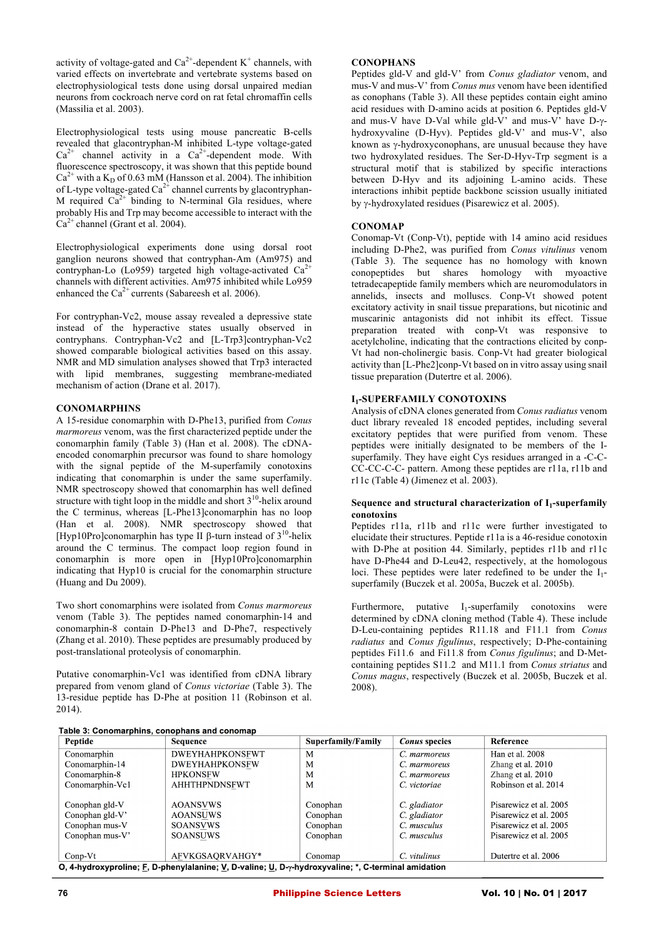activity of voltage-gated and  $Ca^{2+}$ -dependent K<sup>+</sup> channels, with varied effects on invertebrate and vertebrate systems based on electrophysiological tests done using dorsal unpaired median neurons from cockroach nerve cord on rat fetal chromaffin cells (Massilia et al. 2003).

Electrophysiological tests using mouse pancreatic B-cells revealed that glacontryphan-M inhibited L-type voltage-gated  $Ca^{2+}$  channel activity in a  $Ca^{2+}$ -dependent mode. With fluorescence spectroscopy, it was shown that this peptide bound  $Ca^{2+}$  with a K<sub>D</sub> of 0.63 mM (Hansson et al. 2004). The inhibition of L-type voltage-gated  $Ca^{2+}$  channel currents by glacontryphan-M required  $Ca^{2+}$  binding to N-terminal Gla residues, where probably His and Trp may become accessible to interact with the  $Ca<sup>2+</sup> channel (Grant et al. 2004).$ 

Electrophysiological experiments done using dorsal root ganglion neurons showed that contryphan-Am (Am975) and contryphan-Lo (Lo959) targeted high voltage-activated  $Ca^{2+}$ channels with different activities. Am975 inhibited while Lo959 enhanced the  $Ca^{2+}$  currents (Sabareesh et al. 2006).

For contryphan-Vc2, mouse assay revealed a depressive state instead of the hyperactive states usually observed in contryphans. Contryphan-Vc2 and [L-Trp3]contryphan-Vc2 showed comparable biological activities based on this assay. NMR and MD simulation analyses showed that Trp3 interacted with lipid membranes, suggesting membrane-mediated mechanism of action (Drane et al. 2017).

#### **CONOMARPHINS**

A 15-residue conomarphin with D-Phe13, purified from *Conus marmoreus* venom, was the first characterized peptide under the conomarphin family (Table 3) (Han et al. 2008). The cDNAencoded conomarphin precursor was found to share homology with the signal peptide of the M-superfamily conotoxins indicating that conomarphin is under the same superfamily. NMR spectroscopy showed that conomarphin has well defined structure with tight loop in the middle and short  $3^{10}$ -helix around the C terminus, whereas [L-Phe13]conomarphin has no loop (Han et al. 2008). NMR spectroscopy showed that [Hyp10Pro]conomarphin has type II  $\beta$ -turn instead of 3<sup>10</sup>-helix around the C terminus. The compact loop region found in conomarphin is more open in [Hyp10Pro]conomarphin indicating that Hyp10 is crucial for the conomarphin structure (Huang and Du 2009).

Two short conomarphins were isolated from *Conus marmoreus* venom (Table 3). The peptides named conomarphin-14 and conomarphin-8 contain D-Phe13 and D-Phe7, respectively (Zhang et al. 2010). These peptides are presumably produced by post-translational proteolysis of conomarphin.

Putative conomarphin-Vc1 was identified from cDNA library prepared from venom gland of *Conus victoriae* (Table 3). The 13-residue peptide has D-Phe at position 11 (Robinson et al. 2014).

#### **CONOPHANS**

Peptides gld-V and gld-V' from *Conus gladiator* venom, and mus-V and mus-V' from *Conus mus* venom have been identified as conophans (Table 3). All these peptides contain eight amino acid residues with D-amino acids at position 6. Peptides gld-V and mus-V have D-Val while gld-V' and mus-V' have D-yhydroxyvaline (D-Hyv). Peptides gld-V' and mus-V', also known as *y*-hydroxyconophans, are unusual because they have two hydroxylated residues. The Ser-D-Hyv-Trp segment is a structural motif that is stabilized by specific interactions between D-Hyv and its adjoining L-amino acids. These interactions inhibit peptide backbone scission usually initiated by g-hydroxylated residues (Pisarewicz et al. 2005).

### **CONOMAP**

Conomap-Vt (Conp-Vt), peptide with 14 amino acid residues including D-Phe2, was purified from *Conus vitulinus* venom (Table 3). The sequence has no homology with known conopeptides but shares homology with myoactive tetradecapeptide family members which are neuromodulators in annelids, insects and molluscs. Conp-Vt showed potent excitatory activity in snail tissue preparations, but nicotinic and muscarinic antagonists did not inhibit its effect. Tissue preparation treated with conp-Vt was responsive to acetylcholine, indicating that the contractions elicited by conp-Vt had non-cholinergic basis. Conp-Vt had greater biological activity than [L-Phe2]conp-Vt based on in vitro assay using snail tissue preparation (Dutertre et al. 2006).

# **I1-SUPERFAMILY CONOTOXINS**

Analysis of cDNA clones generated from *Conus radiatus* venom duct library revealed 18 encoded peptides, including several excitatory peptides that were purified from venom. These peptides were initially designated to be members of the Isuperfamily. They have eight Cys residues arranged in a -C-C-CC-CC-C-C- pattern. Among these peptides are r11a, r11b and r11c (Table 4) (Jimenez et al. 2003).

#### Sequence and structural characterization of I<sub>1</sub>-superfamily **conotoxins**

Peptides r11a, r11b and r11c were further investigated to elucidate their structures. Peptide r11a is a 46-residue conotoxin with D-Phe at position 44. Similarly, peptides r11b and r11c have D-Phe44 and D-Leu42, respectively, at the homologous loci. These peptides were later redefined to be under the I<sub>1</sub>superfamily (Buczek et al. 2005a, Buczek et al. 2005b).

Furthermore, putative  $I_1$ -superfamily conotoxins were determined by cDNA cloning method (Table 4). These include D-Leu-containing peptides R11.18 and F11.1 from *Conus radiatus* and *Conus figulinus*, respectively; D-Phe-containing peptides Fi11.6 and Fi11.8 from *Conus figulinus*; and D-Metcontaining peptides S11.2 and M11.1 from *Conus striatus* and *Conus magus*, respectively (Buczek et al. 2005b, Buczek et al. 2008).

| Peptide                                                                                             | <b>Sequence</b>        | Superfamily/Family | <b>Conus</b> species | Reference              |  |  |  |
|-----------------------------------------------------------------------------------------------------|------------------------|--------------------|----------------------|------------------------|--|--|--|
| Conomarphin                                                                                         | <b>DWEYHAHPKONSFWT</b> | M                  | C. marmoreus         | Han et al. 2008        |  |  |  |
| Conomarphin-14                                                                                      | <b>DWEYHAHPKONSFW</b>  | M                  | C. marmoreus         | Zhang et al. 2010      |  |  |  |
| Conomarphin-8                                                                                       | <b>HPKONSFW</b>        | M                  | C. marmoreus         | Zhang et al. 2010      |  |  |  |
| Conomarphin-Vc1                                                                                     | <b>AHHTHPNDNSFWT</b>   | M                  | C. victoriae         | Robinson et al. 2014   |  |  |  |
|                                                                                                     |                        |                    |                      |                        |  |  |  |
| Conophan gld-V                                                                                      | <b>AOANSVWS</b>        | Conophan           | C. gladiator         | Pisarewicz et al. 2005 |  |  |  |
| Conophan gld-V'                                                                                     | <b>AOANSUWS</b>        | Conophan           | C. gladiator         | Pisarewicz et al. 2005 |  |  |  |
| Conophan mus-V                                                                                      | <b>SOANSVWS</b>        | Conophan           | C. musculus          | Pisarewicz et al. 2005 |  |  |  |
| Conophan mus-V'                                                                                     | <b>SOANSUWS</b>        | Conophan           | C. musculus          | Pisarewicz et al. 2005 |  |  |  |
|                                                                                                     |                        |                    |                      |                        |  |  |  |
| $Comp-Vt$                                                                                           | AFVKGSAORVAHGY*        | Conomap            | C. vitulinus         | Dutertre et al. 2006   |  |  |  |
| O, 4-hydroxyproline; F, D-phenylalanine; V, D-valine; U, D-y-hydroxyvaline; *, C-terminal amidation |                        |                    |                      |                        |  |  |  |

#### Table 3: Conomarphins, conophans and conomap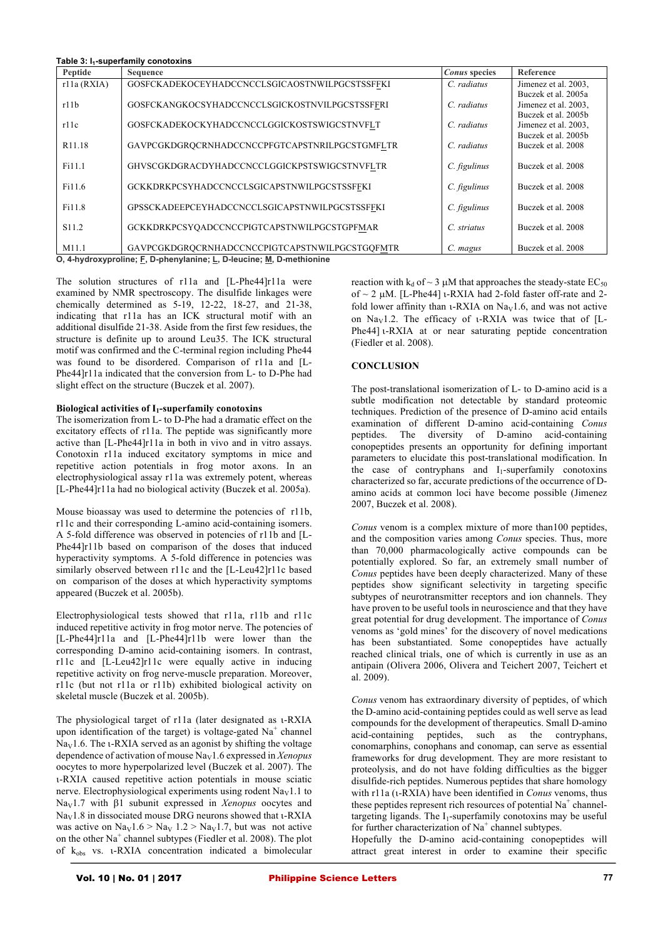| Peptide            | <b>Sequence</b>                                | <b>Conus</b> species | Reference            |  |
|--------------------|------------------------------------------------|----------------------|----------------------|--|
| r11a (RXIA)        | GOSFCKADEKOCEYHADCCNCCLSGICAOSTNWILPGCSTSSFFKI | C. radiatus          | Jimenez et al. 2003. |  |
|                    |                                                |                      | Buczek et al. 2005a  |  |
| r11b               | GOSFCKANGKOCSYHADCCNCCLSGICKOSTNVILPGCSTSSFFRI | C. radiatus          | Jimenez et al. 2003. |  |
|                    |                                                |                      | Buczek et al. 2005b  |  |
| r11c               | GOSFCKADEKOCKYHADCCNCCLGGICKOSTSWIGCSTNVFLT    | C. radiatus          | Jimenez et al. 2003. |  |
|                    |                                                |                      | Buczek et al. 2005b  |  |
| R <sub>11.18</sub> | GAVPCGKDGROCRNHADCCNCCPFGTCAPSTNRILPGCSTGMFLTR | C. radiatus          | Buczek et al. 2008   |  |
|                    |                                                |                      |                      |  |
| Fi11.1             | GHVSCGKDGRACDYHADCCNCCLGGICKPSTSWIGCSTNVFLTR   | C. figulinus         | Buczek et al. 2008   |  |
|                    |                                                |                      |                      |  |
| Fi11.6             | GCKKDRKPCSYHADCCNCCLSGICAPSTNWILPGCSTSSFFKI    | C. figulinus         | Buczek et al. 2008   |  |
| Fi11.8             | GPSSCKADEEPCEYHADCCNCCLSGICAPSTNWILPGCSTSSFFKI | C. figulinus         | Buczek et al. 2008   |  |
|                    |                                                |                      |                      |  |
| S <sub>11.2</sub>  | GCKKDRKPCSYQADCCNCCPIGTCAPSTNWILPGCSTGPFMAR    | C. striatus          | Buczek et al. 2008   |  |
|                    |                                                |                      |                      |  |
| M11.1              | GAVPCGKDGROCRNHADCCNCCPIGTCAPSTNWILPGCSTGOFMTR | C. magus             | Buczek et al. 2008   |  |

The solution structures of r11a and [L-Phe44]r11a were examined by NMR spectroscopy. The disulfide linkages were chemically determined as 5-19, 12-22, 18-27, and 21-38, indicating that r11a has an ICK structural motif with an additional disulfide 21-38. Aside from the first few residues, the structure is definite up to around Leu35. The ICK structural motif was confirmed and the C-terminal region including Phe44 was found to be disordered. Comparison of r11a and [L-Phe44]r11a indicated that the conversion from L- to D-Phe had slight effect on the structure (Buczek et al. 2007).

### **Biological activities of I<sub>1</sub>-superfamily conotoxins**

The isomerization from L- to D-Phe had a dramatic effect on the excitatory effects of r11a. The peptide was significantly more active than [L-Phe44]r11a in both in vivo and in vitro assays. Conotoxin r11a induced excitatory symptoms in mice and repetitive action potentials in frog motor axons. In an electrophysiological assay r11a was extremely potent, whereas [L-Phe44]r11a had no biological activity (Buczek et al. 2005a).

Mouse bioassay was used to determine the potencies of r11b, r11c and their corresponding L-amino acid-containing isomers. A 5-fold difference was observed in potencies of r11b and [L-Phe44]r11b based on comparison of the doses that induced hyperactivity symptoms. A 5-fold difference in potencies was similarly observed between r11c and the [L-Leu42]r11c based on comparison of the doses at which hyperactivity symptoms appeared (Buczek et al. 2005b).

Electrophysiological tests showed that r11a, r11b and r11c induced repetitive activity in frog motor nerve. The potencies of [L-Phe44]r11a and [L-Phe44]r11b were lower than the corresponding D-amino acid-containing isomers. In contrast, r11c and [L-Leu42]r11c were equally active in inducing repetitive activity on frog nerve-muscle preparation. Moreover, r11c (but not r11a or r11b) exhibited biological activity on skeletal muscle (Buczek et al. 2005b).

The physiological target of r11a (later designated as  $i$ -RXIA upon identification of the target) is voltage-gated  $Na<sup>+</sup>$  channel Na<sub>V</sub>1.6. The  $i$ -RXIA served as an agonist by shifting the voltage dependence of activation of mouse NaV1.6 expressed in *Xenopus*  oocytes to more hyperpolarized level (Buczek et al. 2007). The i-RXIA caused repetitive action potentials in mouse sciatic nerve. Electrophysiological experiments using rodent  $\text{Na}_{\text{V}}1.1$  to NaV1.7 with b1 subunit expressed in *Xenopus* oocytes and  $Na<sub>V</sub>1.8$  in dissociated mouse DRG neurons showed that  $i$ -RXIA was active on  $\text{Na}_{\text{V}}1.6$  >  $\text{Na}_{\text{V}}1.2$  >  $\text{Na}_{\text{V}}1.7$ , but was not active on the other  $Na<sup>+</sup>$  channel subtypes (Fiedler et al. 2008). The plot of kobs vs. i-RXIA concentration indicated a bimolecular

reaction with  $k_d$  of  $\sim$  3  $\mu$ M that approaches the steady-state EC<sub>50</sub> of  $\sim$  2 uM. [L-Phe44] i-RXIA had 2-fold faster off-rate and 2fold lower affinity than  $i$ -RXIA on Na<sub>V</sub>1.6, and was not active on Na<sub>v</sub>1.2. The efficacy of  $\iota$ -RXIA was twice that of [L-Phe44] i-RXIA at or near saturating peptide concentration (Fiedler et al. 2008).

#### **CONCLUSION**

The post-translational isomerization of L- to D-amino acid is a subtle modification not detectable by standard proteomic techniques. Prediction of the presence of D-amino acid entails examination of different D-amino acid-containing *Conus* peptides. The diversity of D-amino acid-containing conopeptides presents an opportunity for defining important parameters to elucidate this post-translational modification. In the case of contryphans and  $I_1$ -superfamily conotoxins characterized so far, accurate predictions of the occurrence of Damino acids at common loci have become possible (Jimenez 2007, Buczek et al. 2008).

*Conus* venom is a complex mixture of more than100 peptides, and the composition varies among *Conus* species. Thus, more than 70,000 pharmacologically active compounds can be potentially explored. So far, an extremely small number of *Conus* peptides have been deeply characterized. Many of these peptides show significant selectivity in targeting specific subtypes of neurotransmitter receptors and ion channels. They have proven to be useful tools in neuroscience and that they have great potential for drug development. The importance of *Conus* venoms as 'gold mines' for the discovery of novel medications has been substantiated. Some conopeptides have actually reached clinical trials, one of which is currently in use as an antipain (Olivera 2006, Olivera and Teichert 2007, Teichert et al. 2009).

*Conus* venom has extraordinary diversity of peptides, of which the D-amino acid-containing peptides could as well serve as lead compounds for the development of therapeutics. Small D-amino acid-containing peptides, such as the contryphans, conomarphins, conophans and conomap, can serve as essential frameworks for drug development. They are more resistant to proteolysis, and do not have folding difficulties as the bigger disulfide-rich peptides. Numerous peptides that share homology with r11a (i-RXIA) have been identified in *Conus* venoms, thus these peptides represent rich resources of potential  $Na<sup>+</sup>$  channeltargeting ligands. The  $I_1$ -superfamily conotoxins may be useful for further characterization of  $Na<sup>+</sup>$  channel subtypes.

Hopefully the D-amino acid-containing conopeptides will attract great interest in order to examine their specific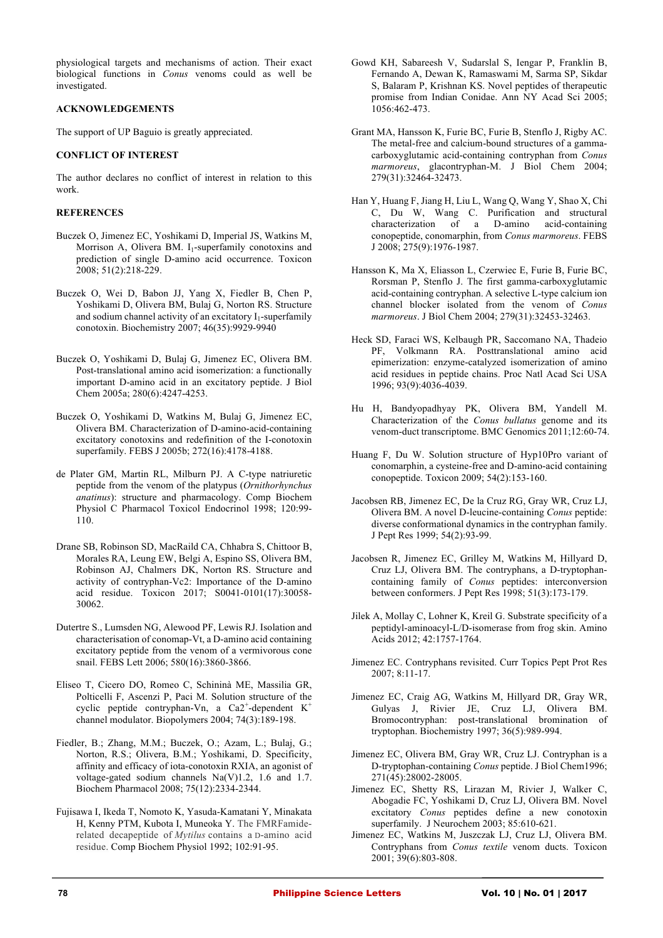physiological targets and mechanisms of action. Their exact biological functions in *Conus* venoms could as well be investigated.

## **ACKNOWLEDGEMENTS**

The support of UP Baguio is greatly appreciated.

# **CONFLICT OF INTEREST**

The author declares no conflict of interest in relation to this work.

### **REFERENCES**

- Buczek O, Jimenez EC, Yoshikami D, Imperial JS, Watkins M, Morrison A, Olivera BM. I<sub>1</sub>-superfamily conotoxins and prediction of single D-amino acid occurrence. Toxicon 2008; 51(2):218-229.
- Buczek O, Wei D, Babon JJ, Yang X, Fiedler B, Chen P, Yoshikami D, Olivera BM, Bulaj G, Norton RS. Structure and sodium channel activity of an excitatory  $I_1$ -superfamily conotoxin. Biochemistry 2007; 46(35):9929-9940
- Buczek O, Yoshikami D, Bulaj G, Jimenez EC, Olivera BM. Post-translational amino acid isomerization: a functionally important D-amino acid in an excitatory peptide. J Biol Chem 2005a; 280(6):4247-4253.
- Buczek O, Yoshikami D, Watkins M, Bulaj G, Jimenez EC, Olivera BM. Characterization of D-amino-acid-containing excitatory conotoxins and redefinition of the I-conotoxin superfamily. FEBS J 2005b; 272(16):4178-4188.
- de Plater GM, Martin RL, Milburn PJ. A C-type natriuretic peptide from the venom of the platypus (*Ornithorhynchus anatinus*): structure and pharmacology. Comp Biochem Physiol C Pharmacol Toxicol Endocrinol 1998; 120:99- 110.
- Drane SB, Robinson SD, MacRaild CA, Chhabra S, Chittoor B, Morales RA, Leung EW, Belgi A, Espino SS, Olivera BM, Robinson AJ, Chalmers DK, Norton RS. Structure and activity of contryphan-Vc2: Importance of the D-amino acid residue. Toxicon 2017; S0041-0101(17):30058- 30062.
- Dutertre S., Lumsden NG, Alewood PF, Lewis RJ. Isolation and characterisation of conomap-Vt, a D-amino acid containing excitatory peptide from the venom of a vermivorous cone snail. FEBS Lett 2006; 580(16):3860-3866.
- Eliseo T, Cicero DO, Romeo C, Schininà ME, Massilia GR, Polticelli F, Ascenzi P, Paci M. Solution structure of the cyclic peptide contryphan-Vn, a Ca2<sup>+</sup>-dependent  $K^+$ channel modulator. Biopolymers 2004; 74(3):189-198.
- Fiedler, B.; Zhang, M.M.; Buczek, O.; Azam, L.; Bulaj, G.; Norton, R.S.; Olivera, B.M.; Yoshikami, D. Specificity, affinity and efficacy of iota-conotoxin RXIA, an agonist of voltage-gated sodium channels Na(V)1.2, 1.6 and 1.7. Biochem Pharmacol 2008; 75(12):2334-2344.
- Fujisawa I, Ikeda T, Nomoto K, Yasuda-Kamatani Y, Minakata H, Kenny PTM, Kubota I, Muneoka Y. The FMRFamiderelated decapeptide of *Mytilus* contains a D-amino acid residue. Comp Biochem Physiol 1992; 102:91-95.
- Gowd KH, Sabareesh V, Sudarslal S, Iengar P, Franklin B, Fernando A, Dewan K, Ramaswami M, Sarma SP, Sikdar S, Balaram P, Krishnan KS. Novel peptides of therapeutic promise from Indian Conidae. Ann NY Acad Sci 2005; 1056:462-473.
- Grant MA, Hansson K, Furie BC, Furie B, Stenflo J, Rigby AC. The metal-free and calcium-bound structures of a gammacarboxyglutamic acid-containing contryphan from *Conus marmoreus*, glacontryphan-M. J Biol Chem 2004; 279(31):32464-32473.
- Han Y, Huang F, Jiang H, Liu L, Wang Q, Wang Y, Shao X, Chi C, Du W, Wang C. Purification and structural characterization of a D-amino acid-containing conopeptide, conomarphin, from *Conus marmoreus*. FEBS J 2008; 275(9):1976-1987.
- Hansson K, Ma X, Eliasson L, Czerwiec E, Furie B, Furie BC, Rorsman P, Stenflo J. The first gamma-carboxyglutamic acid-containing contryphan. A selective L-type calcium ion channel blocker isolated from the venom of *Conus marmoreus*. J Biol Chem 2004; 279(31):32453-32463.
- Heck SD, Faraci WS, Kelbaugh PR, Saccomano NA, Thadeio PF, Volkmann RA. Posttranslational amino acid epimerization: enzyme-catalyzed isomerization of amino acid residues in peptide chains. Proc Natl Acad Sci USA 1996; 93(9):4036-4039.
- Hu H, Bandyopadhyay PK, Olivera BM, Yandell M. Characterization of the *Conus bullatus* genome and its venom-duct transcriptome. BMC Genomics 2011;12:60-74.
- Huang F, Du W. Solution structure of Hyp10Pro variant of conomarphin, a cysteine-free and D-amino-acid containing conopeptide. Toxicon 2009; 54(2):153-160.
- Jacobsen RB, Jimenez EC, De la Cruz RG, Gray WR, Cruz LJ, Olivera BM. A novel D-leucine-containing *Conus* peptide: diverse conformational dynamics in the contryphan family. J Pept Res 1999; 54(2):93-99.
- Jacobsen R, Jimenez EC, Grilley M, Watkins M, Hillyard D, Cruz LJ, Olivera BM. The contryphans, a D-tryptophancontaining family of *Conus* peptides: interconversion between conformers. J Pept Res 1998; 51(3):173-179.
- Jilek A, Mollay C, Lohner K, Kreil G. Substrate specificity of a peptidyl-aminoacyl-L/D-isomerase from frog skin. Amino Acids 2012; 42:1757-1764.
- Jimenez EC. Contryphans revisited. Curr Topics Pept Prot Res 2007; 8:11-17.
- Jimenez EC, Craig AG, Watkins M, Hillyard DR, Gray WR, Gulyas J, Rivier JE, Cruz LJ, Olivera BM. Bromocontryphan: post-translational bromination of tryptophan. Biochemistry 1997; 36(5):989-994.
- Jimenez EC, Olivera BM, Gray WR, Cruz LJ. Contryphan is a D-tryptophan-containing *Conus* peptide. J Biol Chem1996; 271(45):28002-28005.
- Jimenez EC, Shetty RS, Lirazan M, Rivier J, Walker C, Abogadie FC, Yoshikami D, Cruz LJ, Olivera BM. Novel excitatory *Conus* peptides define a new conotoxin superfamily. J Neurochem 2003; 85:610-621.
- Jimenez EC, Watkins M, Juszczak LJ, Cruz LJ, Olivera BM. Contryphans from *Conus textile* venom ducts. Toxicon 2001; 39(6):803-808.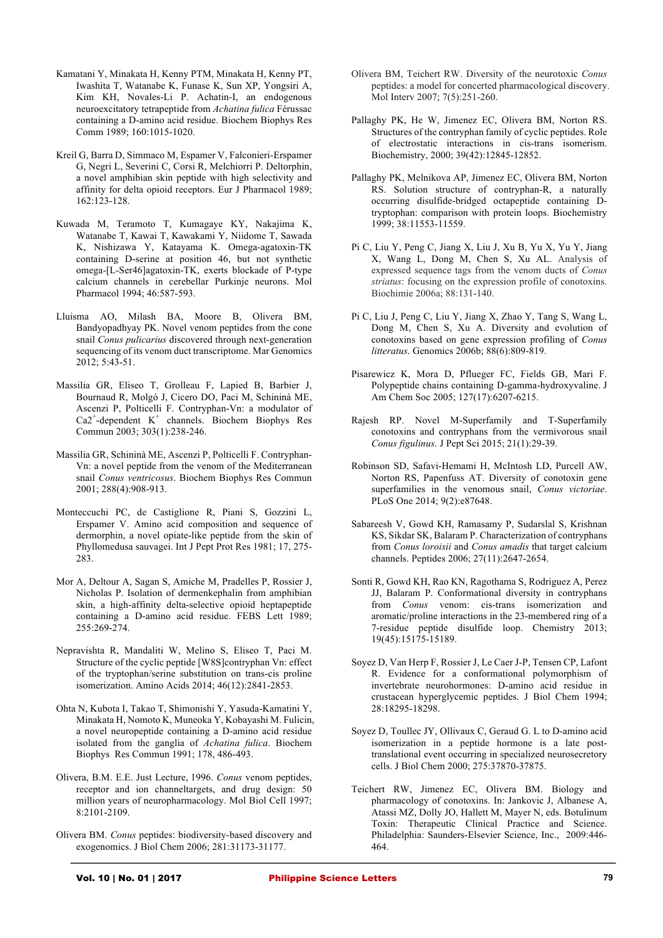- Kamatani Y, Minakata H, Kenny PTM, Minakata H, Kenny PT, Iwashita T, Watanabe K, Funase K, Sun XP, Yongsiri A, Kim KH, Novales-Li P. Achatin-I, an endogenous neuroexcitatory tetrapeptide from *Achatina fulica* Férussac containing a D-amino acid residue. Biochem Biophys Res Comm 1989; 160:1015-1020.
- Kreil G, Barra D, Simmaco M, Espamer V, Falconieri-Erspamer G, Negri L, Severini C, Corsi R, Melchiorri P. Deltorphin, a novel amphibian skin peptide with high selectivity and affinity for delta opioid receptors. Eur J Pharmacol 1989; 162:123-128.
- Kuwada M, Teramoto T, Kumagaye KY, Nakajima K, Watanabe T, Kawai T, Kawakami Y, Niidome T, Sawada K, Nishizawa Y, Katayama K. Omega-agatoxin-TK containing D-serine at position 46, but not synthetic omega-[L-Ser46]agatoxin-TK, exerts blockade of P-type calcium channels in cerebellar Purkinje neurons. Mol Pharmacol 1994; 46:587-593.
- Lluisma AO, Milash BA, Moore B, Olivera BM, Bandyopadhyay PK. Novel venom peptides from the cone snail *Conus pulicarius* discovered through next-generation sequencing of its venom duct transcriptome. Mar Genomics 2012; 5:43-51.
- Massilia GR, Eliseo T, Grolleau F, Lapied B, Barbier J, Bournaud R, Molgó J, Cicero DO, Paci M, Schininà ME, Ascenzi P, Polticelli F. Contryphan-Vn: a modulator of  $Ca2^+$ -dependent  $K^+$  channels. Biochem Biophys Res Commun 2003; 303(1):238-246.
- Massilia GR, Schininà ME, Ascenzi P, Polticelli F. Contryphan-Vn: a novel peptide from the venom of the Mediterranean snail *Conus ventricosus*. Biochem Biophys Res Commun 2001; 288(4):908-913.
- Monteccuchi PC, de Castiglione R, Piani S, Gozzini L, Erspamer V. Amino acid composition and sequence of dermorphin, a novel opiate-like peptide from the skin of Phyllomedusa sauvagei. Int J Pept Prot Res 1981; 17, 275- 283.
- Mor A, Deltour A, Sagan S, Amiche M, Pradelles P, Rossier J, Nicholas P. Isolation of dermenkephalin from amphibian skin, a high-affinity delta-selective opioid heptapeptide containing a D-amino acid residue. FEBS Lett 1989; 255:269-274.
- Nepravishta R, Mandaliti W, Melino S, Eliseo T, Paci M. Structure of the cyclic peptide [W8S]contryphan Vn: effect of the tryptophan/serine substitution on trans-cis proline isomerization. Amino Acids 2014; 46(12):2841-2853.
- Ohta N, Kubota I, Takao T, Shimonishi Y, Yasuda-Kamatini Y, Minakata H, Nomoto K, Muneoka Y, Kobayashi M. Fulicin, a novel neuropeptide containing a D-amino acid residue isolated from the ganglia of *Achatina fulica*. Biochem Biophys Res Commun 1991; 178, 486-493.
- Olivera, B.M. E.E. Just Lecture, 1996. *Conus* venom peptides, receptor and ion channeltargets, and drug design: 50 million years of neuropharmacology. Mol Biol Cell 1997; 8:2101-2109.
- Olivera BM. *Conus* peptides: biodiversity-based discovery and exogenomics. J Biol Chem 2006; 281:31173-31177.
- Olivera BM, Teichert RW. Diversity of the neurotoxic *Conus* peptides: a model for concerted pharmacological discovery. Mol Interv 2007; 7(5):251-260.
- Pallaghy PK, He W, Jimenez EC, Olivera BM, Norton RS. Structures of the contryphan family of cyclic peptides. Role of electrostatic interactions in cis-trans isomerism. Biochemistry, 2000; 39(42):12845-12852.
- Pallaghy PK, Melnikova AP, Jimenez EC, Olivera BM, Norton RS. Solution structure of contryphan-R, a naturally occurring disulfide-bridged octapeptide containing Dtryptophan: comparison with protein loops. Biochemistry 1999; 38:11553-11559.
- Pi C, Liu Y, Peng C, Jiang X, Liu J, Xu B, Yu X, Yu Y, Jiang X, Wang L, Dong M, Chen S, Xu AL. Analysis of expressed sequence tags from the venom ducts of *Conus striatus*: focusing on the expression profile of conotoxins. Biochimie 2006a; 88:131-140.
- Pi C, Liu J, Peng C, Liu Y, Jiang X, Zhao Y, Tang S, Wang L, Dong M, Chen S, Xu A. Diversity and evolution of conotoxins based on gene expression profiling of *Conus litteratus*. Genomics 2006b; 88(6):809-819.
- Pisarewicz K, Mora D, Pflueger FC, Fields GB, Mari F. Polypeptide chains containing D-gamma-hydroxyvaline. J Am Chem Soc 2005; 127(17):6207-6215.
- Rajesh RP. Novel M-Superfamily and T-Superfamily conotoxins and contryphans from the vermivorous snail *Conus figulinus*. J Pept Sci 2015; 21(1):29-39.
- Robinson SD, Safavi-Hemami H, McIntosh LD, Purcell AW, Norton RS, Papenfuss AT. Diversity of conotoxin gene superfamilies in the venomous snail, *Conus victoriae*. PLoS One 2014; 9(2):e87648.
- Sabareesh V, Gowd KH, Ramasamy P, Sudarslal S, Krishnan KS, Sikdar SK, Balaram P. Characterization of contryphans from *Conus loroisii* and *Conus amadis* that target calcium channels. Peptides 2006; 27(11):2647-2654.
- Sonti R, Gowd KH, Rao KN, Ragothama S, Rodriguez A, Perez JJ, Balaram P. Conformational diversity in contryphans from *Conus* venom: cis-trans isomerization and aromatic/proline interactions in the 23-membered ring of a 7-residue peptide disulfide loop. Chemistry 2013; 19(45):15175-15189.
- Soyez D, Van Herp F, Rossier J, Le Caer J-P, Tensen CP, Lafont R. Evidence for a conformational polymorphism of invertebrate neurohormones: D-amino acid residue in crustacean hyperglycemic peptides. J Biol Chem 1994; 28:18295-18298.
- Soyez D, Toullec JY, Ollivaux C, Geraud G. L to D-amino acid isomerization in a peptide hormone is a late posttranslational event occurring in specialized neurosecretory cells. J Biol Chem 2000; 275:37870-37875.
- Teichert RW, Jimenez EC, Olivera BM. Biology and pharmacology of conotoxins. In: Jankovic J, Albanese A, Atassi MZ, Dolly JO, Hallett M, Mayer N, eds. Botulinum Toxin: Therapeutic Clinical Practice and Science. Philadelphia: Saunders-Elsevier Science, Inc., 2009:446- 464.